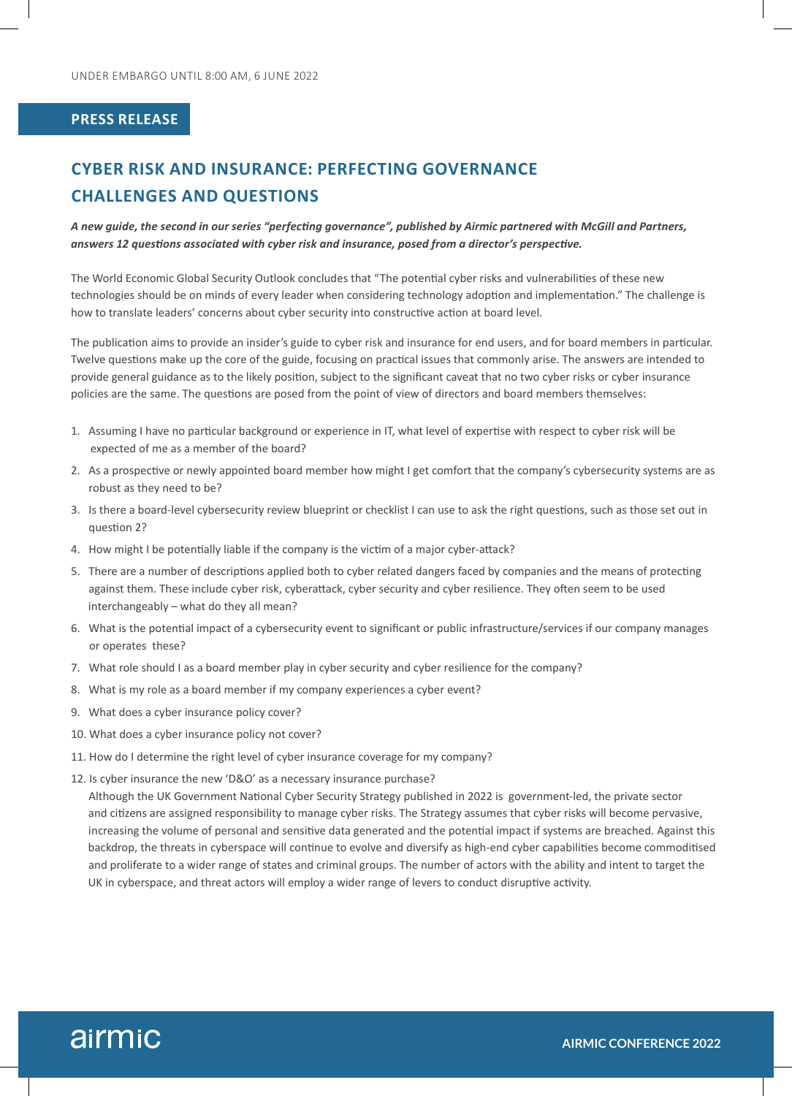#### **PRESS RELEASE**

# **CYBER RISK AND INSURANCE: PERFECTING GOVERNANCE CHALLENGES AND QUESTIONS**

*A new guide, the second in our series "perfecting governance", published by Airmic partnered with McGill and Partners, answers 12 questions associated with cyber risk and insurance, posed from a director's perspective.*

The World Economic Global Security Outlook concludes that "The potential cyber risks and vulnerabilities of these new technologies should be on minds of every leader when considering technology adoption and implementation." The challenge is how to translate leaders' concerns about cyber security into constructive action at board level.

The publication aims to provide an insider's guide to cyber risk and insurance for end users, and for board members in particular. Twelve questions make up the core of the guide, focusing on practical issues that commonly arise. The answers are intended to provide general guidance as to the likely position, subject to the significant caveat that no two cyber risks or cyber insurance policies are the same. The questions are posed from the point of view of directors and board members themselves:

- 1. Assuming I have no particular background or experience in IT, what level of expertise with respect to cyber risk will be expected of me as a member of the board?
- 2. As a prospective or newly appointed board member how might I get comfort that the company's cybersecurity systems are as robust as they need to be?
- 3. Is there a board-level cybersecurity review blueprint or checklist I can use to ask the right questions, such as those set out in question 2?
- 4. How might I be potentially liable if the company is the victim of a major cyber-attack?
- 5. There are a number of descriptions applied both to cyber related dangers faced by companies and the means of protecting against them. These include cyber risk, cyberattack, cyber security and cyber resilience. They often seem to be used interchangeably – what do they all mean?
- 6. What is the potential impact of a cybersecurity event to significant or public infrastructure/services if our company manages or operates these?
- 7. What role should I as a board member play in cyber security and cyber resilience for the company?
- 8. What is my role as a board member if my company experiences a cyber event?
- 9. What does a cyber insurance policy cover?
- 10. What does a cyber insurance policy not cover?
- 11. How do I determine the right level of cyber insurance coverage for my company?
- 12. Is cyber insurance the new 'D&O' as a necessary insurance purchase?

 Although the UK Government National Cyber Security Strategy published in 2022 is government-led, the private sector and citizens are assigned responsibility to manage cyber risks. The Strategy assumes that cyber risks will become pervasive, increasing the volume of personal and sensitive data generated and the potential impact if systems are breached. Against this backdrop, the threats in cyberspace will continue to evolve and diversify as high-end cyber capabilities become commoditised and proliferate to a wider range of states and criminal groups. The number of actors with the ability and intent to target the UK in cyberspace, and threat actors will employ a wider range of levers to conduct disruptive activity.